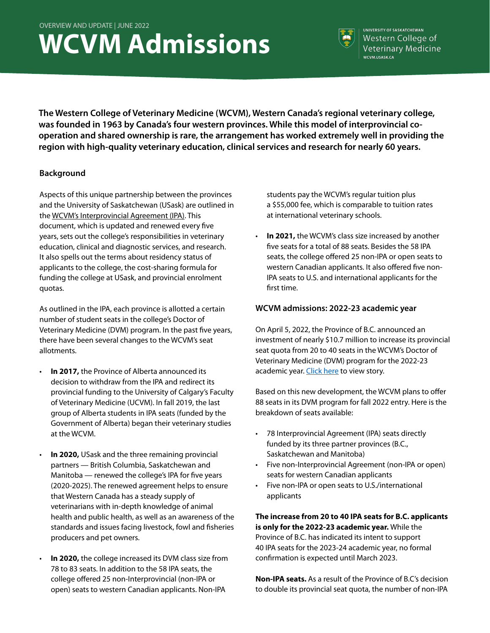# **WCVM Admissions**



**UNIVERSITY OF SASKATCHEWAN** Western College of Veterinary Medicine WCVM.USASK.CA

**The Western College of Veterinary Medicine (WCVM), Western Canada's regional veterinary college, was founded in 1963 by Canada's four western provinces. While this model of interprovincial cooperation and shared ownership is rare, the arrangement has worked extremely well in providing the region with high-quality veterinary education, clinical services and research for nearly 60 years.**

### **Background**

Aspects of this unique partnership between the provinces and the University of Saskatchewan (USask) are outlined in the [WCVM's Interprovincial Agreement \(IPA\).](https://wcvm.usask.ca/the-college/about.php#Interprovincialagreement) This document, which is updated and renewed every five years, sets out the college's responsibilities in veterinary education, clinical and diagnostic services, and research. It also spells out the terms about residency status of applicants to the college, the cost-sharing formula for funding the college at USask, and provincial enrolment quotas.

As outlined in the IPA, each province is allotted a certain number of student seats in the college's Doctor of Veterinary Medicine (DVM) program. In the past five years, there have been several changes to the WCVM's seat allotments.

- **In 2017,** the Province of Alberta announced its decision to withdraw from the IPA and redirect its provincial funding to the University of Calgary's Faculty of Veterinary Medicine (UCVM). In fall 2019, the last group of Alberta students in IPA seats (funded by the Government of Alberta) began their veterinary studies at the WCVM.
- Manitoba renewed the college's IPA for five years **In 2020, USask and the three remaining provincial** partners — British Columbia, Saskatchewan and (2020-2025). The renewed agreement helps to ensure that Western Canada has a steady supply of veterinarians with in-depth knowledge of animal health and public health, as well as an awareness of the standards and issues facing livestock, fowl and fisheries producers and pet owners.
- **In 2020,** the college increased its DVM class size from 78 to 83 seats. In addition to the 58 IPA seats, the college offered 25 non-Interprovincial (non-IPA or open) seats to western Canadian applicants. Non-IPA

students pay the WCVM's regular tuition plus a \$55,000 fee, which is comparable to tuition rates at international veterinary schools.

• **In 2021,** the WCVM's class size increased by another five seats for a total of 88 seats. Besides the 58 IPA seats, the college offered 25 non-IPA or open seats to western Canadian applicants. It also offered five non-IPA seats to U.S. and international applicants for the first time.

### **WCVM admissions: 2022-23 academic year**

On April 5, 2022, the Province of B.C. announced an investment of nearly \$10.7 million to increase its provincial seat quota from 20 to 40 seats in the WCVM's Doctor of Veterinary Medicine (DVM) program for the 2022-23 academic year. [Click here](https://wcvmtoday.usask.ca/articles/2022/04/bc-doubles-student-seats-in-dvm-program.php) to view story.

Based on this new development, the WCVM plans to offer 88 seats in its DVM program for fall 2022 entry. Here is the breakdown of seats available:

- 78 Interprovincial Agreement (IPA) seats directly funded by its three partner provinces (B.C., Saskatchewan and Manitoba)
- Five non-Interprovincial Agreement (non-IPA or open) seats for western Canadian applicants
- Five non-IPA or open seats to U.S./international applicants

**The increase from 20 to 40 IPA seats for B.C. applicants is only for the 2022-23 academic year.** While the Province of B.C. has indicated its intent to support 40 IPA seats for the 2023-24 academic year, no formal confirmation is expected until March 2023.

**Non-IPA seats.** As a result of the Province of B.C's decision to double its provincial seat quota, the number of non-IPA